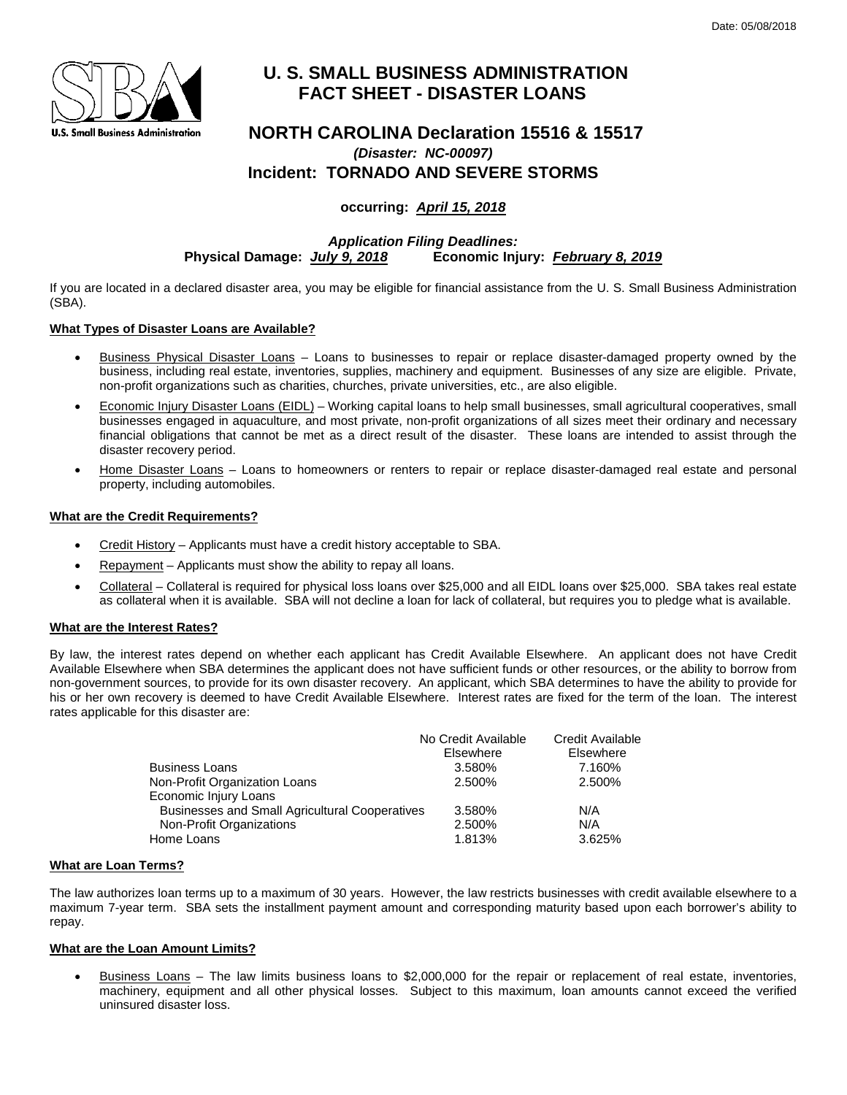

# **U. S. SMALL BUSINESS ADMINISTRATION FACT SHEET - DISASTER LOANS**

## **NORTH CAROLINA Declaration 15516 & 15517** *(Disaster: NC-00097)* **Incident: TORNADO AND SEVERE STORMS**

### **occurring:** *April 15, 2018*

*Application Filing Deadlines:* **Physical Damage:** *July 9, 2018* **Economic Injury:** *February 8, 2019*

If you are located in a declared disaster area, you may be eligible for financial assistance from the U. S. Small Business Administration (SBA).

#### **What Types of Disaster Loans are Available?**

- Business Physical Disaster Loans Loans to businesses to repair or replace disaster-damaged property owned by the business, including real estate, inventories, supplies, machinery and equipment. Businesses of any size are eligible. Private, non-profit organizations such as charities, churches, private universities, etc., are also eligible.
- Economic Injury Disaster Loans (EIDL) Working capital loans to help small businesses, small agricultural cooperatives, small businesses engaged in aquaculture, and most private, non-profit organizations of all sizes meet their ordinary and necessary financial obligations that cannot be met as a direct result of the disaster. These loans are intended to assist through the disaster recovery period.
- Home Disaster Loans Loans to homeowners or renters to repair or replace disaster-damaged real estate and personal property, including automobiles.

#### **What are the Credit Requirements?**

- Credit History Applicants must have a credit history acceptable to SBA.
- Repayment Applicants must show the ability to repay all loans.
- Collateral Collateral is required for physical loss loans over \$25,000 and all EIDL loans over \$25,000. SBA takes real estate as collateral when it is available. SBA will not decline a loan for lack of collateral, but requires you to pledge what is available.

#### **What are the Interest Rates?**

By law, the interest rates depend on whether each applicant has Credit Available Elsewhere. An applicant does not have Credit Available Elsewhere when SBA determines the applicant does not have sufficient funds or other resources, or the ability to borrow from non-government sources, to provide for its own disaster recovery. An applicant, which SBA determines to have the ability to provide for his or her own recovery is deemed to have Credit Available Elsewhere. Interest rates are fixed for the term of the loan. The interest rates applicable for this disaster are:

|                                                       | No Credit Available<br>Elsewhere | <b>Credit Available</b><br>Elsewhere |
|-------------------------------------------------------|----------------------------------|--------------------------------------|
| <b>Business Loans</b>                                 | 3.580%                           | 7.160%                               |
| Non-Profit Organization Loans                         | 2.500%                           | 2.500%                               |
| Economic Injury Loans                                 |                                  |                                      |
| <b>Businesses and Small Agricultural Cooperatives</b> | 3.580%                           | N/A                                  |
| Non-Profit Organizations                              | 2.500%                           | N/A                                  |
| Home Loans                                            | 1.813%                           | 3.625%                               |

#### **What are Loan Terms?**

The law authorizes loan terms up to a maximum of 30 years. However, the law restricts businesses with credit available elsewhere to a maximum 7-year term. SBA sets the installment payment amount and corresponding maturity based upon each borrower's ability to repay.

#### **What are the Loan Amount Limits?**

• Business Loans – The law limits business loans to \$2,000,000 for the repair or replacement of real estate, inventories, machinery, equipment and all other physical losses. Subject to this maximum, loan amounts cannot exceed the verified uninsured disaster loss.